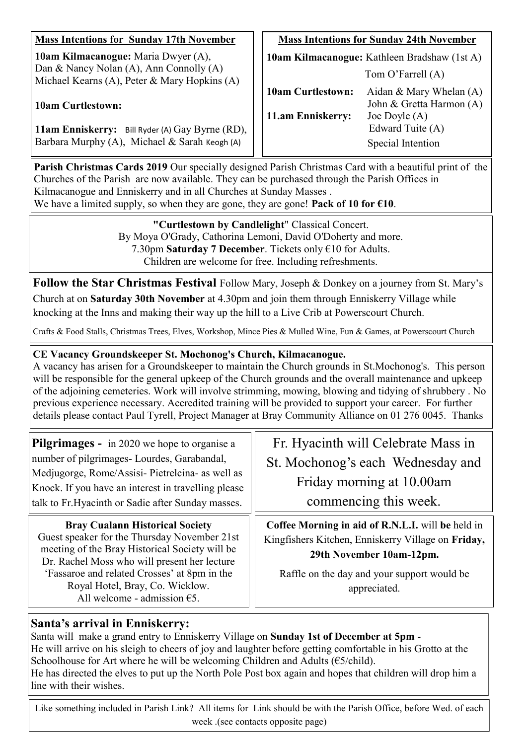| <b>Mass Intentions for Sunday 17th November</b>                                                                                       | <b>Mass Intentions for Sunday 24th November</b>                   |                                                                          |
|---------------------------------------------------------------------------------------------------------------------------------------|-------------------------------------------------------------------|--------------------------------------------------------------------------|
| <b>10am Kilmacanogue:</b> Maria Dwyer (A),<br>Dan & Nancy Nolan (A), Ann Connolly (A)<br>Michael Kearns (A), Peter & Mary Hopkins (A) | 10am Kilmacanogue: Kathleen Bradshaw (1st A)<br>Tom O'Farrell (A) |                                                                          |
| <b>10am Curtlestown:</b>                                                                                                              | <b>10am Curtlestown:</b><br>11.am Enniskerry:                     | Aidan & Mary Whelan $(A)$<br>John & Gretta Harmon (A)<br>Joe Doyle $(A)$ |
| 11am Enniskerry: Bill Ryder (A) Gay Byrne (RD),<br>Barbara Murphy (A), Michael & Sarah Keogh (A)                                      |                                                                   | Edward Tuite (A)<br>Special Intention                                    |

**Parish Christmas Cards 2019** Our specially designed Parish Christmas Card with a beautiful print of the Churches of the Parish are now available. They can be purchased through the Parish Offices in Kilmacanogue and Enniskerry and in all Churches at Sunday Masses . We have a limited supply, so when they are gone, they are gone! **Pack of 10 for €10**.

> **"Curtlestown by Candlelight**" Classical Concert. By Moya O'Grady, Cathorina Lemoni, David O'Doherty and more. 7.30pm **Saturday 7 December**. Tickets only €10 for Adults. Children are welcome for free. Including refreshments.

**Follow the Star Christmas Festival** Follow Mary, Joseph & Donkey on a journey from St. Mary's Church at on **Saturday 30th November** at 4.30pm and join them through Enniskerry Village while knocking at the Inns and making their way up the hill to a Live Crib at Powerscourt Church.

Crafts & Food Stalls, Christmas Trees, Elves, Workshop, Mince Pies & Mulled Wine, Fun & Games, at Powerscourt Church

# **CE Vacancy Groundskeeper St. Mochonog's Church, Kilmacanogue.**

A vacancy has arisen for a Groundskeeper to maintain the Church grounds in St.Mochonog's. This person will be responsible for the general upkeep of the Church grounds and the overall maintenance and upkeep of the adjoining cemeteries. Work will involve strimming, mowing, blowing and tidying of shrubbery . No previous experience necessary. Accredited training will be provided to support your career. For further details please contact Paul Tyrell, Project Manager at Bray Community Alliance on 01 276 0045. Thanks

| <b>Pilgrimages -</b> in 2020 we hope to organise a<br>number of pilgrimages- Lourdes, Garabandal,<br>Medjugorge, Rome/Assisi- Pietrelcina- as well as<br>Knock. If you have an interest in travelling please<br>talk to Fr. Hyacinth or Sadie after Sunday masses.                                            | Fr. Hyacinth will Celebrate Mass in<br>St. Mochonog's each Wednesday and<br>Friday morning at 10.00am<br>commencing this week.                                                                     |
|---------------------------------------------------------------------------------------------------------------------------------------------------------------------------------------------------------------------------------------------------------------------------------------------------------------|----------------------------------------------------------------------------------------------------------------------------------------------------------------------------------------------------|
| <b>Bray Cualann Historical Society</b><br>Guest speaker for the Thursday November 21st<br>meeting of the Bray Historical Society will be<br>Dr. Rachel Moss who will present her lecture<br>'Fassaroe and related Crosses' at 8pm in the<br>Royal Hotel, Bray, Co. Wicklow.<br>All welcome - admission $65$ . | Coffee Morning in aid of R.N.L.I. will be held in<br>Kingfishers Kitchen, Enniskerry Village on Friday,<br>29th November 10am-12pm.<br>Raffle on the day and your support would be<br>appreciated. |

# **Santa's arrival in Enniskerry:**

Santa will make a grand entry to Enniskerry Village on **Sunday 1st of December at 5pm** - He will arrive on his sleigh to cheers of joy and laughter before getting comfortable in his Grotto at the Schoolhouse for Art where he will be welcoming Children and Adults ( $\epsilon$ 5/child). He has directed the elves to put up the North Pole Post box again and hopes that children will drop him a line with their wishes.

Like something included in Parish Link? All items for Link should be with the Parish Office, before Wed. of each week .(see contacts opposite page)